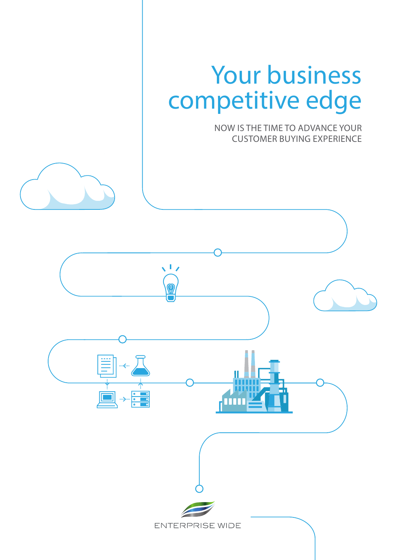# Your business competitive edge

NOW IS THE TIME TO ADVANCE YOUR CUSTOMER BUYING EXPERIENCE

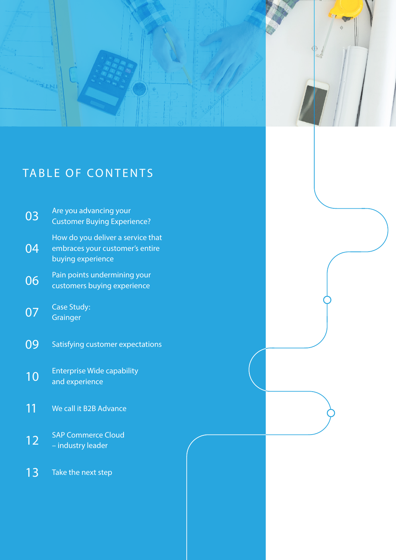

# TABLE OF CONTENTS

| 03 | Are you advancing your<br><b>Customer Buying Experience?</b>                              |
|----|-------------------------------------------------------------------------------------------|
| 04 | How do you deliver a service that<br>embraces your customer's entire<br>buying experience |
| 06 | Pain points undermining your<br>customers buying experience                               |
| 07 | <b>Case Study:</b><br>Grainger                                                            |
| 09 | Satisfying customer expectations                                                          |
| 10 | <b>Enterprise Wide capability</b><br>and experience                                       |
| 11 | We call it B2B Advance                                                                    |
| 12 | <b>SAP Commerce Cloud</b><br>- industry leader                                            |
| 13 | Take the next step                                                                        |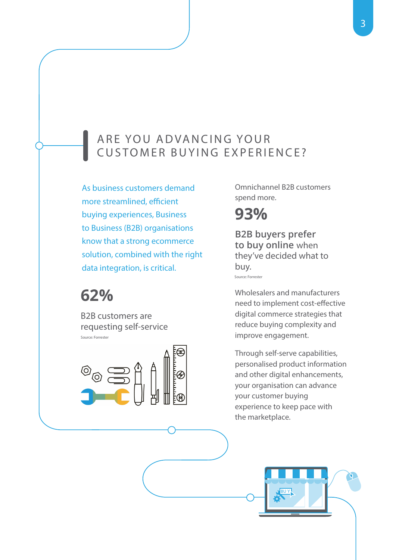### ARE YOU ADVANCING YOUR CUSTOMER BUYING EXPERIENCE?

As business customers demand more streamlined, efficient buying experiences, Business to Business (B2B) organisations know that a strong ecommerce solution, combined with the right data integration, is critical.

# **62%**

Source: Forrester B2B customers are requesting self-service



Omnichannel B2B customers spend more.

# **93%**

Source: Forrester **B2B buyers prefer to buy online** when they've decided what to buy.

Wholesalers and manufacturers need to implement cost-effective digital commerce strategies that reduce buying complexity and improve engagement.

Through self-serve capabilities, personalised product information and other digital enhancements, your organisation can advance your customer buying experience to keep pace with the marketplace.

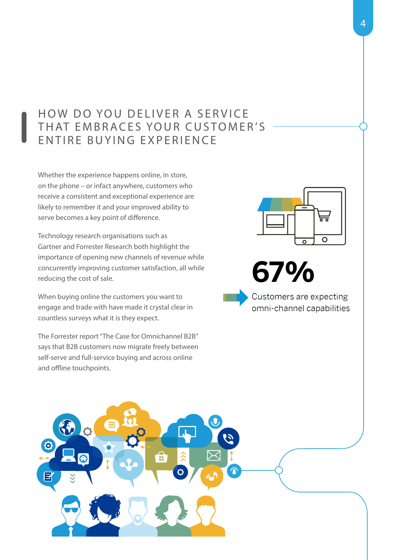### HOW DO YOU DELIVER A SERVICE THAT EMBRACES YOUR CUSTOMER'S ENTIRE BUYING EXPERIENCE

Whether the experience happens online, in store, on the phone – or infact anywhere, customers who receive a consistent and exceptional experience are likely to remember it and your improved ability to serve becomes a key point of difference.

Technology research organisations such as Gartner and Forrester Research both highlight the importance of opening new channels of revenue while concurrently improving customer satisfaction, all while reducing the cost of sale.

When buying online the customers you want to engage and trade with have made it crystal clear in countless surveys what it is they expect.

The Forrester report "The Case for Omnichannel B2B" says that B2B customers now migrate freely between self-serve and full-service buying and across online and offline touchpoints.





Customers are expecting omni-channel capabilities

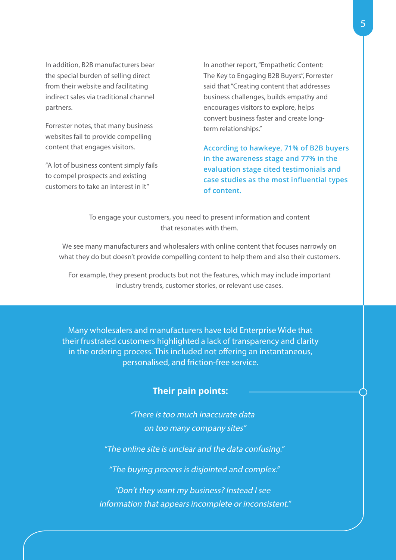In addition, B2B manufacturers bear the special burden of selling direct from their website and facilitating indirect sales via traditional channel partners.

Forrester notes, that many business websites fail to provide compelling content that engages visitors.

"A lot of business content simply fails to compel prospects and existing customers to take an interest in it"

In another report, "Empathetic Content: The Key to Engaging B2B Buyers", Forrester said that "Creating content that addresses business challenges, builds empathy and encourages visitors to explore, helps convert business faster and create longterm relationships."

**According to hawkeye, 71% of B2B buyers in the awareness stage and 77% in the evaluation stage cited testimonials and case studies as the most influential types of content.** 

To engage your customers, you need to present information and content that resonates with them.

We see many manufacturers and wholesalers with online content that focuses narrowly on what they do but doesn't provide compelling content to help them and also their customers.

For example, they present products but not the features, which may include important industry trends, customer stories, or relevant use cases.

Many wholesalers and manufacturers have told Enterprise Wide that their frustrated customers highlighted a lack of transparency and clarity in the ordering process. This included not offering an instantaneous, personalised, and friction-free service.

#### **Their pain points:**

"There is too much inaccurate data on too many company sites"

"The online site is unclear and the data confusing."

"The buying process is disjointed and complex."

"Don't they want my business? Instead I see information that appears incomplete or inconsistent."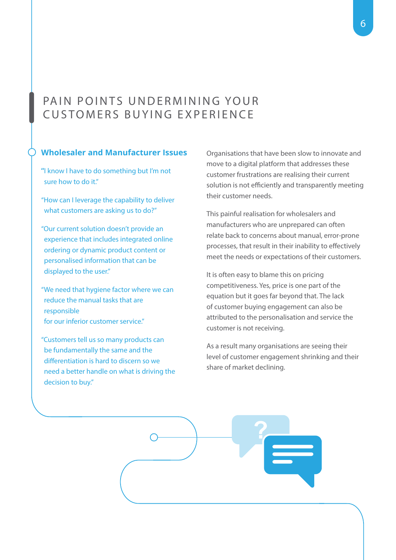### PAIN POINTS UNDERMINING YOUR CUSTOMERS BUYING EXPERIENCE

#### **Wholesaler and Manufacturer Issues**

**"**I know I have to do something but I'm not sure how to do it"

"How can I leverage the capability to deliver what customers are asking us to do?"

"Our current solution doesn't provide an experience that includes integrated online ordering or dynamic product content or personalised information that can be displayed to the user."

"We need that hygiene factor where we can reduce the manual tasks that are responsible for our inferior customer service."

"Customers tell us so many products can be fundamentally the same and the differentiation is hard to discern so we need a better handle on what is driving the decision to buy."

Organisations that have been slow to innovate and move to a digital platform that addresses these customer frustrations are realising their current solution is not efficiently and transparently meeting their customer needs.

This painful realisation for wholesalers and manufacturers who are unprepared can often relate back to concerns about manual, error-prone processes, that result in their inability to effectively meet the needs or expectations of their customers.

It is often easy to blame this on pricing competitiveness. Yes, price is one part of the equation but it goes far beyond that. The lack of customer buying engagement can also be attributed to the personalisation and service the customer is not receiving.

As a result many organisations are seeing their level of customer engagement shrinking and their share of market declining.

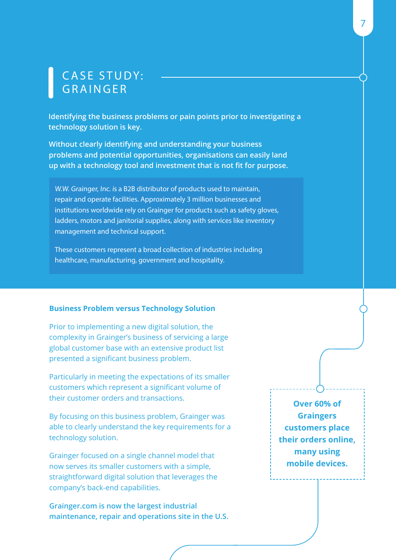# CASE STUDY: GRAINGER

**Identifying the business problems or pain points prior to investigating a technology solution is key.** 

**Without clearly identifying and understanding your business problems and potential opportunities, organisations can easily land up with a technology tool and investment that is not fit for purpose.**

W.W. Grainger, Inc. is a B2B distributor of products used to maintain, repair and operate facilities. Approximately 3 million businesses and institutions worldwide rely on Grainger for products such as safety gloves, ladders, motors and janitorial supplies, along with services like inventory management and technical support.

These customers represent a broad collection of industries including healthcare, manufacturing, government and hospitality.

#### **Business Problem versus Technology Solution**

Prior to implementing a new digital solution, the complexity in Grainger's business of servicing a large global customer base with an extensive product list presented a significant business problem.

Particularly in meeting the expectations of its smaller customers which represent a significant volume of their customer orders and transactions.

By focusing on this business problem, Grainger was able to clearly understand the key requirements for a technology solution.

Grainger focused on a single channel model that now serves its smaller customers with a simple, straightforward digital solution that leverages the company's back-end capabilities.

**Grainger.com is now the largest industrial maintenance, repair and operations site in the U.S.**

**Over 60% of Graingers customers place their orders online, many using mobile devices.**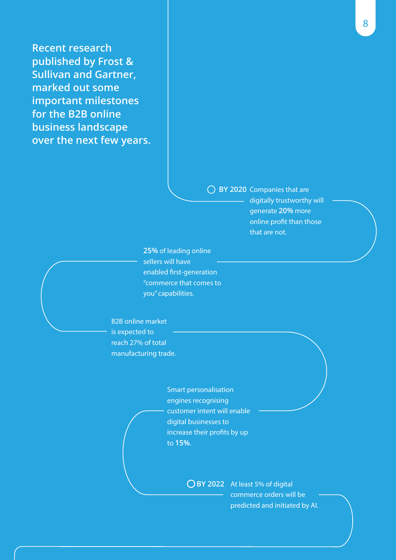**Recent research published by Frost & Sullivan and Gartner, marked out some important milestones for the B2B online business landscape over the next few years.**

> **BY 2020** Companies that are digitally trustworthy will generate **20%** more online profit than those that are not.

**25%** of leading online sellers will have enabled first-generation "commerce that comes to you" capabilities.

### B2B online market is expected to reach 27% of total

manufacturing trade.

Smart personalisation engines recognising customer intent will enable digital businesses to increase their profits by up to **15%**.

> **BY 2022** At least 5% of digital commerce orders will be predicted and initiated by AI.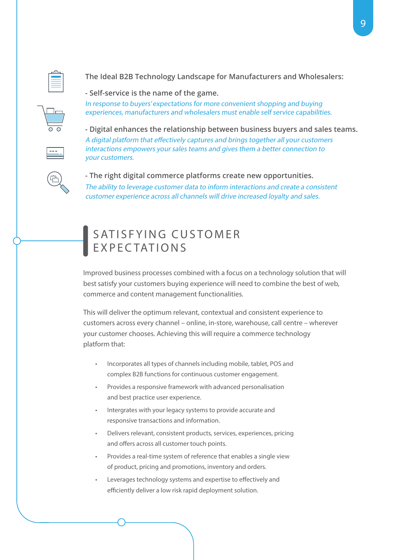

**The Ideal B2B Technology Landscape for Manufacturers and Wholesalers:**

**- Self-service is the name of the game.**

In response to buyers' expectations for more convenient shopping and buying experiences, manufacturers and wholesalers must enable self service capabilities.

**- Digital enhances the relationship between business buyers and sales teams.** A digital platform that effectively captures and brings together all your customers interactions empowers your sales teams and gives them a better connection to your customers.



**- The right digital commerce platforms create new opportunities.** The ability to leverage customer data to inform interactions and create a consistent customer experience across all channels will drive increased loyalty and sales.

## SATISFYING CUSTOMER EXPECTATIONS

Improved business processes combined with a focus on a technology solution that will best satisfy your customers buying experience will need to combine the best of web, commerce and content management functionalities.

This will deliver the optimum relevant, contextual and consistent experience to customers across every channel – online, in-store, warehouse, call centre – wherever your customer chooses. Achieving this will require a commerce technology platform that:

- Incorporates all types of channels including mobile, tablet, POS and complex B2B functions for continuous customer engagement.
- Provides a responsive framework with advanced personalisation and best practice user experience.
- Intergrates with your legacy systems to provide accurate and responsive transactions and information.
- Delivers relevant, consistent products, services, experiences, pricing and offers across all customer touch points.
- Provides a real-time system of reference that enables a single view of product, pricing and promotions, inventory and orders.
- Leverages technology systems and expertise to effectively and efficiently deliver a low risk rapid deployment solution.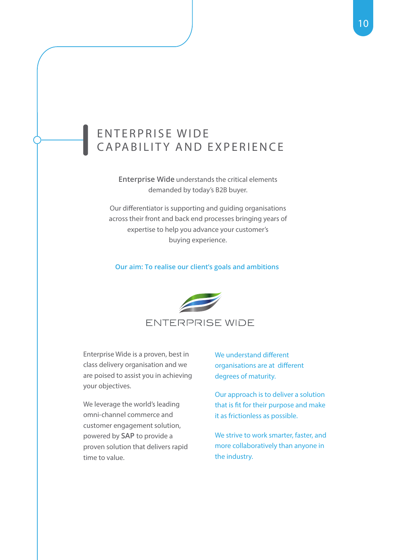### ENTERPRISE WIDE CAPABILITY AND EXPERIENCE

**Enterprise Wide** understands the critical elements demanded by today's B2B buyer.

Our differentiator is supporting and guiding organisations across their front and back end processes bringing years of expertise to help you advance your customer's buying experience.

#### **Our aim: To realise our client's goals and ambitions**



Enterprise Wide is a proven, best in class delivery organisation and we are poised to assist you in achieving your objectives.

We leverage the world's leading omni-channel commerce and customer engagement solution, powered by **SAP** to provide a proven solution that delivers rapid time to value.

We understand different organisations are at different degrees of maturity.

Our approach is to deliver a solution that is fit for their purpose and make it as frictionless as possible.

We strive to work smarter, faster, and more collaboratively than anyone in the industry.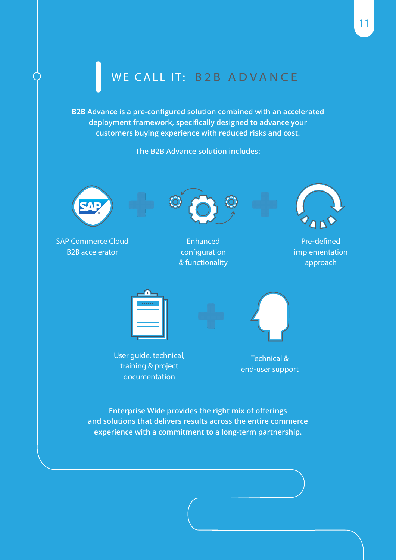# WE CALL IT: B2B ADVANCE

**B2B Advance is a pre-configured solution combined with an accelerated deployment framework, specifically designed to advance your customers buying experience with reduced risks and cost.**

**The B2B Advance solution includes:**



SAP Commerce Cloud B2B accelerator



Enhanced configuration & functionality



Pre-defined implementation approach

| $\bullet$                   |  |
|-----------------------------|--|
| <b><i><u>ARRAIN</u></i></b> |  |
|                             |  |
|                             |  |
|                             |  |
|                             |  |



User guide, technical, training & project documentation

Technical & end-user support

**Enterprise Wide provides the right mix of offerings and solutions that delivers results across the entire commerce experience with a commitment to a long-term partnership.**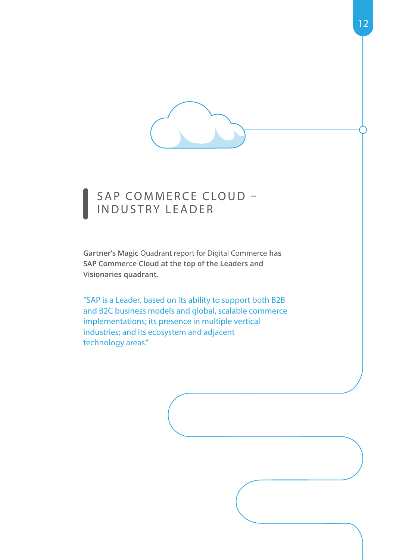

## SAP COMMERCE CLOUD -INDUSTRY LEADER

**Gartner's Magic** Quadrant report for Digital Commerce **has SAP Commerce Cloud at the top of the Leaders and Visionaries quadrant.** 

"SAP is a Leader, based on its ability to support both B2B and B2C business models and global, scalable commerce implementations; its presence in multiple vertical industries; and its ecosystem and adjacent technology areas."